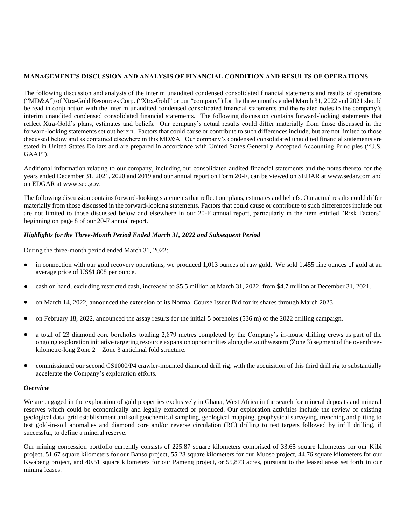# **MANAGEMENT'S DISCUSSION AND ANALYSIS OF FINANCIAL CONDITION AND RESULTS OF OPERATIONS**

The following discussion and analysis of the interim unaudited condensed consolidated financial statements and results of operations ("MD&A") of Xtra-Gold Resources Corp. ("Xtra-Gold" or our "company") for the three months ended March 31, 2022 and 2021 should be read in conjunction with the interim unaudited condensed consolidated financial statements and the related notes to the company's interim unaudited condensed consolidated financial statements. The following discussion contains forward-looking statements that reflect Xtra-Gold's plans, estimates and beliefs. Our company's actual results could differ materially from those discussed in the forward-looking statements set out herein. Factors that could cause or contribute to such differences include, but are not limited to those discussed below and as contained elsewhere in this MD&A. Our company's condensed consolidated unaudited financial statements are stated in United States Dollars and are prepared in accordance with United States Generally Accepted Accounting Principles ("U.S. GAAP").

Additional information relating to our company, including our consolidated audited financial statements and the notes thereto for the years ended December 31, 2021, 2020 and 2019 and our annual report on Form 20-F, can be viewed on SEDAR at [www.sedar.com](http://www.sedar.com/) and on EDGAR at [www.sec.gov.](http://www.sec.gov/)

The following discussion contains forward-looking statements that reflect our plans, estimates and beliefs. Our actual results could differ materially from those discussed in the forward-looking statements. Factors that could cause or contribute to such differences include but are not limited to those discussed below and elsewhere in our 20-F annual report, particularly in the item entitled "Risk Factors" beginning on page 8 of our 20-F annual report.

# *Highlights for the Three-Month Period Ended March 31, 2022 and Subsequent Period*

During the three-month period ended March 31, 2022:

- in connection with our gold recovery operations, we produced 1,013 ounces of raw gold. We sold 1,455 fine ounces of gold at an average price of US\$1,808 per ounce.
- cash on hand, excluding restricted cash, increased to \$5.5 million at March 31, 2022, from \$4.7 million at December 31, 2021.
- on March 14, 2022, announced the extension of its Normal Course Issuer Bid for its shares through March 2023.
- on February 18, 2022, announced the assay results for the initial 5 boreholes (536 m) of the 2022 drilling campaign.
- a total of 23 diamond core boreholes totaling 2,879 metres completed by the Company's in-house drilling crews as part of the ongoing exploration initiative targeting resource expansion opportunities along the southwestern (Zone 3) segment of the over threekilometre-long Zone 2 – Zone 3 anticlinal fold structure.
- commissioned our second CS1000/P4 crawler-mounted diamond drill rig; with the acquisition of this third drill rig to substantially accelerate the Company's exploration efforts.

#### *Overview*

We are engaged in the exploration of gold properties exclusively in Ghana, West Africa in the search for mineral deposits and mineral reserves which could be economically and legally extracted or produced. Our exploration activities include the review of existing geological data, grid establishment and soil geochemical sampling, geological mapping, geophysical surveying, trenching and pitting to test gold-in-soil anomalies and diamond core and/or reverse circulation (RC) drilling to test targets followed by infill drilling, if successful, to define a mineral reserve.

Our mining concession portfolio currently consists of 225.87 square kilometers comprised of 33.65 square kilometers for our Kibi project, 51.67 square kilometers for our Banso project, 55.28 square kilometers for our Muoso project, 44.76 square kilometers for our Kwabeng project, and 40.51 square kilometers for our Pameng project, or 55,873 acres, pursuant to the leased areas set forth in our mining leases.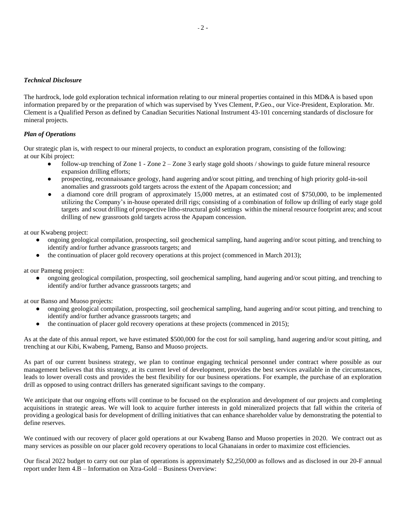## *Technical Disclosure*

The hardrock, lode gold exploration technical information relating to our mineral properties contained in this MD&A is based upon information prepared by or the preparation of which was supervised by Yves Clement, P.Geo., our Vice-President, Exploration. Mr. Clement is a Qualified Person as defined by Canadian Securities National Instrument 43-101 concerning standards of disclosure for mineral projects.

## *Plan of Operations*

Our strategic plan is, with respect to our mineral projects, to conduct an exploration program, consisting of the following: at our Kibi project:

- follow-up trenching of Zone  $1$  Zone  $2$  Zone 3 early stage gold shoots / showings to guide future mineral resource expansion drilling efforts;
- prospecting, reconnaissance geology, hand augering and/or scout pitting, and trenching of high priority gold-in-soil anomalies and grassroots gold targets across the extent of the Apapam concession; and
- **●** a diamond core drill program of approximately 15,000 metres, at an estimated cost of \$750,000, to be implemented utilizing the Company's in-house operated drill rigs; consisting of a combination of follow up drilling of early stage gold targets and scout drilling of prospective litho-structural gold settings within the mineral resource footprint area; and scout drilling of new grassroots gold targets across the Apapam concession.

at our Kwabeng project:

- **●** ongoing geological compilation, prospecting, soil geochemical sampling, hand augering and/or scout pitting, and trenching to identify and/or further advance grassroots targets; and
- **●** the continuation of placer gold recovery operations at this project (commenced in March 2013);

at our Pameng project:

● ongoing geological compilation, prospecting, soil geochemical sampling, hand augering and/or scout pitting, and trenching to identify and/or further advance grassroots targets; and

at our Banso and Muoso projects:

- **●** ongoing geological compilation, prospecting, soil geochemical sampling, hand augering and/or scout pitting, and trenching to identify and/or further advance grassroots targets; and
- the continuation of placer gold recovery operations at these projects (commenced in 2015);

As at the date of this annual report, we have estimated \$500,000 for the cost for soil sampling, hand augering and/or scout pitting, and trenching at our Kibi, Kwabeng, Pameng, Banso and Muoso projects.

As part of our current business strategy, we plan to continue engaging technical personnel under contract where possible as our management believes that this strategy, at its current level of development, provides the best services available in the circumstances, leads to lower overall costs and provides the best flexibility for our business operations. For example, the purchase of an exploration drill as opposed to using contract drillers has generated significant savings to the company.

We anticipate that our ongoing efforts will continue to be focused on the exploration and development of our projects and completing acquisitions in strategic areas. We will look to acquire further interests in gold mineralized projects that fall within the criteria of providing a geological basis for development of drilling initiatives that can enhance shareholder value by demonstrating the potential to define reserves.

We continued with our recovery of placer gold operations at our Kwabeng Banso and Muoso properties in 2020. We contract out as many services as possible on our placer gold recovery operations to local Ghanaians in order to maximize cost efficiencies.

Our fiscal 2022 budget to carry out our plan of operations is approximately \$2,250,000 as follows and as disclosed in our 20-F annual report under Item 4.B – Information on Xtra-Gold – Business Overview: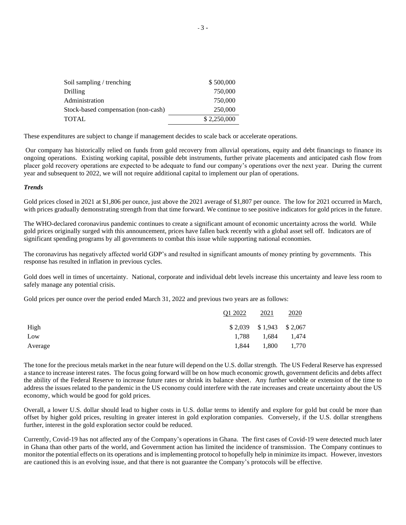| Soil sampling / trenching           | \$500,000   |
|-------------------------------------|-------------|
| Drilling                            | 750,000     |
| Administration                      | 750,000     |
| Stock-based compensation (non-cash) | 250,000     |
| <b>TOTAL</b>                        | \$2,250,000 |

These expenditures are subject to change if management decides to scale back or accelerate operations.

Our company has historically relied on funds from gold recovery from alluvial operations, equity and debt financings to finance its ongoing operations. Existing working capital, possible debt instruments, further private placements and anticipated cash flow from placer gold recovery operations are expected to be adequate to fund our company's operations over the next year. During the current year and subsequent to 2022, we will not require additional capital to implement our plan of operations.

### *Trends*

Gold prices closed in 2021 at \$1,806 per ounce, just above the 2021 average of \$1,807 per ounce. The low for 2021 occurred in March, with prices gradually demonstrating strength from that time forward. We continue to see positive indicators for gold prices in the future.

The WHO-declared coronavirus pandemic continues to create a significant amount of economic uncertainty across the world. While gold prices originally surged with this announcement, prices have fallen back recently with a global asset sell off. Indicators are of significant spending programs by all governments to combat this issue while supporting national economies.

The coronavirus has negatively affected world GDP's and resulted in significant amounts of money printing by governments. This response has resulted in inflation in previous cycles.

Gold does well in times of uncertainty. National, corporate and individual debt levels increase this uncertainty and leave less room to safely manage any potential crisis.

Gold prices per ounce over the period ended March 31, 2022 and previous two years are as follows:

|         | Q1 2022 | 2021                       | 2020  |
|---------|---------|----------------------------|-------|
| High    |         | $$2,039$ $$1,943$ $$2,067$ |       |
| Low     |         | 1,788 1,684 1,474          |       |
| Average | 1.844   | 1,800                      | 1,770 |

The tone for the precious metals market in the near future will depend on the U.S. dollar strength. The US Federal Reserve has expressed a stance to increase interest rates. The focus going forward will be on how much economic growth, government deficits and debts affect the ability of the Federal Reserve to increase future rates or shrink its balance sheet. Any further wobble or extension of the time to address the issues related to the pandemic in the US economy could interfere with the rate increases and create uncertainty about the US economy, which would be good for gold prices.

Overall, a lower U.S. dollar should lead to higher costs in U.S. dollar terms to identify and explore for gold but could be more than offset by higher gold prices, resulting in greater interest in gold exploration companies. Conversely, if the U.S. dollar strengthens further, interest in the gold exploration sector could be reduced.

Currently, Covid-19 has not affected any of the Company's operations in Ghana. The first cases of Covid-19 were detected much later in Ghana than other parts of the world, and Government action has limited the incidence of transmission. The Company continues to monitor the potential effects on its operations and is implementing protocol to hopefully help in minimize its impact. However, investors are cautioned this is an evolving issue, and that there is not guarantee the Company's protocols will be effective.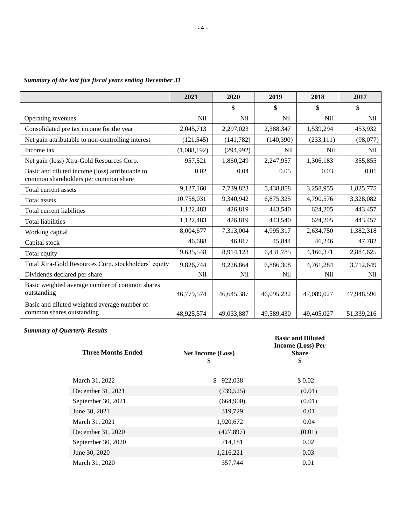|                                                                                         | 2021        | 2020       | 2019       | 2018            | 2017            |
|-----------------------------------------------------------------------------------------|-------------|------------|------------|-----------------|-----------------|
|                                                                                         |             | \$         | \$         | \$              | \$              |
| Operating revenues                                                                      | Nil         | Nil        | Nil        | Nil             | N <sub>il</sub> |
| Consolidated pre tax income for the year                                                | 2,045,713   | 2,297,023  | 2,388,347  | 1,539,294       | 453,932         |
| Net gain attributable to non-controlling interest                                       | (121, 545)  | (141, 782) | (140, 390) | (233, 111)      | (98,077)        |
| Income tax                                                                              | (1,088,192) | (294,992)  | Nil        | N <sub>il</sub> | N <sub>il</sub> |
| Net gain (loss) Xtra-Gold Resources Corp.                                               | 957,521     | 1,860,249  | 2,247,957  | 1,306,183       | 355,855         |
| Basic and diluted income (loss) attributable to<br>common shareholders per common share | 0.02        | 0.04       | 0.05       | 0.03            | 0.01            |
| Total current assets                                                                    | 9,127,160   | 7,739,823  | 5,438,858  | 3,258,955       | 1,825,775       |
| Total assets                                                                            | 10,758,031  | 9,340,942  | 6,875,325  | 4,790,576       | 3,328,082       |
| Total current liabilities                                                               | 1,122,483   | 426,819    | 443,540    | 624,205         | 443,457         |
| <b>Total liabilities</b>                                                                | 1,122,483   | 426,819    | 443,540    | 624,205         | 443,457         |
| Working capital                                                                         | 8,004,677   | 7,313,004  | 4,995,317  | 2,634,750       | 1,382,318       |
| Capital stock                                                                           | 46,688      | 46,817     | 45,844     | 46,246          | 47,782          |
| Total equity                                                                            | 9,635,548   | 8,914,123  | 6,431,785  | 4,166,371       | 2,884,625       |
| Total Xtra-Gold Resources Corp. stockholders' equity                                    | 9,826,744   | 9,226,864  | 6,886,308  | 4,761,284       | 3,712,649       |
| Dividends declared per share                                                            | <b>Nil</b>  | <b>Nil</b> | <b>Nil</b> | Nil             | Nil             |
| Basic weighted average number of common shares<br>outstanding                           | 46,779,574  | 46,645,387 | 46,095,232 | 47,089,027      | 47,948,596      |
| Basic and diluted weighted average number of<br>common shares outstanding               | 48,925,574  | 49,033,887 | 49.589.430 | 49,405,027      | 51,339,216      |

# *Summary of the last five fiscal years ending December 31*

*Summary of Quarterly Results*

| <b>Three Months Ended</b> | <b>Net Income (Loss)</b><br>\$ | <b>Basic and Diluted</b><br><b>Income (Loss) Per</b><br><b>Share</b><br>\$ |
|---------------------------|--------------------------------|----------------------------------------------------------------------------|
|                           |                                |                                                                            |
| March 31, 2022            | 922,038<br>\$                  | \$ 0.02                                                                    |
| December 31, 2021         | (739, 525)                     | (0.01)                                                                     |
| September 30, 2021        | (664,900)                      | (0.01)                                                                     |
| June 30, 2021             | 319,729                        | 0.01                                                                       |
| March 31, 2021            | 1,920,672                      | 0.04                                                                       |
| December 31, 2020         | (427, 897)                     | (0.01)                                                                     |
| September 30, 2020        | 714,181                        | 0.02                                                                       |
| June 30, 2020             | 1,216,221                      | 0.03                                                                       |
| March 31, 2020            | 357,744                        | 0.01                                                                       |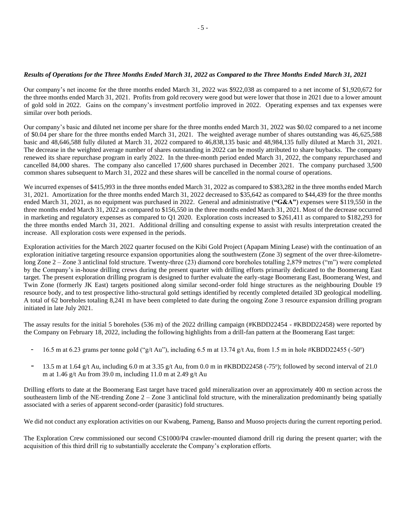#### *Results of Operations for the Three Months Ended March 31, 2022 as Compared to the Three Months Ended March 31, 2021*

Our company's net income for the three months ended March 31, 2022 was \$922,038 as compared to a net income of \$1,920,672 for the three months ended March 31, 2021. Profits from gold recovery were good but were lower that those in 2021 due to a lower amount of gold sold in 2022. Gains on the company's investment portfolio improved in 2022. Operating expenses and tax expenses were similar over both periods.

Our company's basic and diluted net income per share for the three months ended March 31, 2022 was \$0.02 compared to a net income of \$0.04 per share for the three months ended March 31, 2021. The weighted average number of shares outstanding was 46,625,588 basic and 48,646,588 fully diluted at March 31, 2022 compared to 46,838,135 basic and 48,984,135 fully diluted at March 31, 2021. The decrease in the weighted average number of shares outstanding in 2022 can be mostly attributed to share buybacks. The company renewed its share repurchase program in early 2022. In the three-month period ended March 31, 2022, the company repurchased and cancelled 84,000 shares. The company also cancelled 17,600 shares purchased in December 2021. The company purchased 3,500 common shares subsequent to March 31, 2022 and these shares will be cancelled in the normal course of operations.

We incurred expenses of \$415,993 in the three months ended March 31, 2022 as compared to \$383,282 in the three months ended March 31, 2021. Amortization for the three months ended March 31, 2022 decreased to \$35,642 as compared to \$44,439 for the three months ended March 31, 2021, as no equipment was purchased in 2022. General and administrative (**"G&A"**) expenses were \$119,550 in the three months ended March 31, 2022 as compared to \$156,550 in the three months ended March 31, 2021. Most of the decrease occurred in marketing and regulatory expenses as compared to Q1 2020. Exploration costs increased to \$261,411 as compared to \$182,293 for the three months ended March 31, 2021. Additional drilling and consulting expense to assist with results interpretation created the increase. All exploration costs were expensed in the periods.

Exploration activities for the March 2022 quarter focused on the Kibi Gold Project (Apapam Mining Lease) with the continuation of an exploration initiative targeting resource expansion opportunities along the southwestern (Zone 3) segment of the over three-kilometrelong Zone 2 – Zone 3 anticlinal fold structure. Twenty-three (23) diamond core boreholes totalling 2,879 metres ("m") were completed by the Company's in-house drilling crews during the present quarter with drilling efforts primarily dedicated to the Boomerang East target. The present exploration drilling program is designed to further evaluate the early-stage Boomerang East, Boomerang West, and Twin Zone (formerly JK East) targets positioned along similar second-order fold hinge structures as the neighbouring Double 19 resource body, and to test prospective litho-structural gold settings identified by recently completed detailed 3D geological modelling. A total of 62 boreholes totaling 8,241 m have been completed to date during the ongoing Zone 3 resource expansion drilling program initiated in late July 2021.

The assay results for the initial 5 boreholes (536 m) of the 2022 drilling campaign (#KBDD22454 - #KBDD22458) were reported by the Company on February 18, 2022, including the following highlights from a drill-fan pattern at the Boomerang East target:

- $-$  16.5 m at 6.23 grams per tonne gold ("g/t Au"), including 6.5 m at 13.74 g/t Au, from 1.5 m in hole #KBDD22455 (-50°)
- 13.5 m at 1.64 g/t Au, including 6.0 m at 3.35 g/t Au, from 0.0 m in #KBDD22458 (-75°); followed by second interval of 21.0 m at 1.46 g/t Au from 39.0 m, including 11.0 m at 2.49 g/t Au

Drilling efforts to date at the Boomerang East target have traced gold mineralization over an approximately 400 m section across the southeastern limb of the NE-trending Zone 2 – Zone 3 anticlinal fold structure, with the mineralization predominantly being spatially associated with a series of apparent second-order (parasitic) fold structures.

We did not conduct any exploration activities on our Kwabeng, Pameng, Banso and Muoso projects during the current reporting period.

The Exploration Crew commissioned our second CS1000/P4 crawler-mounted diamond drill rig during the present quarter; with the acquisition of this third drill rig to substantially accelerate the Company's exploration efforts.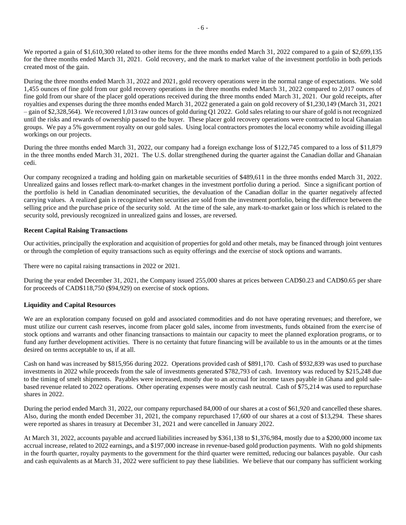We reported a gain of \$1,610,300 related to other items for the three months ended March 31, 2022 compared to a gain of \$2,699,135 for the three months ended March 31, 2021. Gold recovery, and the mark to market value of the investment portfolio in both periods created most of the gain.

During the three months ended March 31, 2022 and 2021, gold recovery operations were in the normal range of expectations. We sold 1,455 ounces of fine gold from our gold recovery operations in the three months ended March 31, 2022 compared to 2,017 ounces of fine gold from our share of the placer gold operations received during the three months ended March 31, 2021. Our gold receipts, after royalties and expenses during the three months ended March 31, 2022 generated a gain on gold recovery of \$1,230,149 (March 31, 2021 – gain of \$2,328,564). We recovered 1,013 raw ounces of gold during Q1 2022. Gold sales relating to our share of gold is not recognized until the risks and rewards of ownership passed to the buyer. These placer gold recovery operations were contracted to local Ghanaian groups. We pay a 5% government royalty on our gold sales. Using local contractors promotes the local economy while avoiding illegal workings on our projects.

During the three months ended March 31, 2022, our company had a foreign exchange loss of \$122,745 compared to a loss of \$11,879 in the three months ended March 31, 2021. The U.S. dollar strengthened during the quarter against the Canadian dollar and Ghanaian cedi.

Our company recognized a trading and holding gain on marketable securities of \$489,611 in the three months ended March 31, 2022. Unrealized gains and losses reflect mark-to-market changes in the investment portfolio during a period. Since a significant portion of the portfolio is held in Canadian denominated securities, the devaluation of the Canadian dollar in the quarter negatively affected carrying values. A realized gain is recognized when securities are sold from the investment portfolio, being the difference between the selling price and the purchase price of the security sold. At the time of the sale, any mark-to-market gain or loss which is related to the security sold, previously recognized in unrealized gains and losses, are reversed.

## **Recent Capital Raising Transactions**

Our activities, principally the exploration and acquisition of properties for gold and other metals, may be financed through joint ventures or through the completion of equity transactions such as equity offerings and the exercise of stock options and warrants.

There were no capital raising transactions in 2022 or 2021.

During the year ended December 31, 2021, the Company issued 255,000 shares at prices between CAD\$0.23 and CAD\$0.65 per share for proceeds of CAD\$118,750 (\$94,929) on exercise of stock options.

# **Liquidity and Capital Resources**

We are an exploration company focused on gold and associated commodities and do not have operating revenues; and therefore, we must utilize our current cash reserves, income from placer gold sales, income from investments, funds obtained from the exercise of stock options and warrants and other financing transactions to maintain our capacity to meet the planned exploration programs, or to fund any further development activities. There is no certainty that future financing will be available to us in the amounts or at the times desired on terms acceptable to us, if at all.

Cash on hand was increased by \$815,956 during 2022. Operations provided cash of \$891,170. Cash of \$932,839 was used to purchase investments in 2022 while proceeds from the sale of investments generated \$782,793 of cash. Inventory was reduced by \$215,248 due to the timing of smelt shipments. Payables were increased, mostly due to an accrual for income taxes payable in Ghana and gold salebased revenue related to 2022 operations. Other operating expenses were mostly cash neutral. Cash of \$75,214 was used to repurchase shares in 2022.

During the period ended March 31, 2022, our company repurchased 84,000 of our shares at a cost of \$61,920 and cancelled these shares. Also, during the month ended December 31, 2021, the company repurchased 17,600 of our shares at a cost of \$13,294. These shares were reported as shares in treasury at December 31, 2021 and were cancelled in January 2022.

At March 31, 2022, accounts payable and accrued liabilities increased by \$361,138 to \$1,376,984, mostly due to a \$200,000 income tax accrual increase, related to 2022 earnings, and a \$197,000 increase in revenue-based gold production payments. With no gold shipments in the fourth quarter, royalty payments to the government for the third quarter were remitted, reducing our balances payable. Our cash and cash equivalents as at March 31, 2022 were sufficient to pay these liabilities. We believe that our company has sufficient working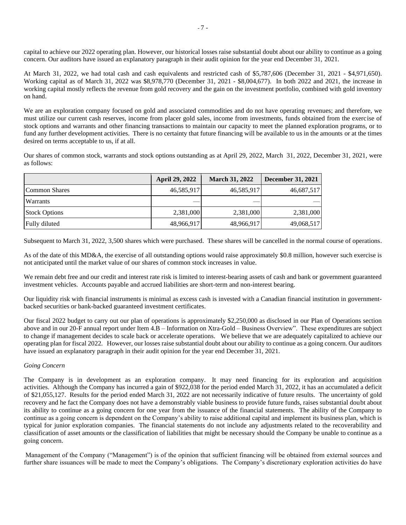capital to achieve our 2022 operating plan. However, our historical losses raise substantial doubt about our ability to continue as a going concern. Our auditors have issued an explanatory paragraph in their audit opinion for the year end December 31, 2021.

At March 31, 2022, we had total cash and cash equivalents and restricted cash of \$5,787,606 (December 31, 2021 - \$4,971,650). Working capital as of March 31, 2022 was \$8,978,770 (December 31, 2021 - \$8,004,677). In both 2022 and 2021, the increase in working capital mostly reflects the revenue from gold recovery and the gain on the investment portfolio, combined with gold inventory on hand.

We are an exploration company focused on gold and associated commodities and do not have operating revenues; and therefore, we must utilize our current cash reserves, income from placer gold sales, income from investments, funds obtained from the exercise of stock options and warrants and other financing transactions to maintain our capacity to meet the planned exploration programs, or to fund any further development activities. There is no certainty that future financing will be available to us in the amounts or at the times desired on terms acceptable to us, if at all.

Our shares of common stock, warrants and stock options outstanding as at April 29, 2022, March 31, 2022, December 31, 2021, were as follows:

|                      | <b>April 29, 2022</b> | <b>March 31, 2022</b> | <b>December 31, 2021</b> |
|----------------------|-----------------------|-----------------------|--------------------------|
| Common Shares        | 46,585,917            | 46,585,917            | 46,687,517               |
| Warrants             |                       |                       |                          |
| <b>Stock Options</b> | 2,381,000             | 2,381,000             | 2,381,000                |
| Fully diluted        | 48,966,917            | 48,966,917            | 49,068,517               |

Subsequent to March 31, 2022, 3,500 shares which were purchased. These shares will be cancelled in the normal course of operations.

As of the date of this MD&A, the exercise of all outstanding options would raise approximately \$0.8 million, however such exercise is not anticipated until the market value of our shares of common stock increases in value.

We remain debt free and our credit and interest rate risk is limited to interest-bearing assets of cash and bank or government guaranteed investment vehicles. Accounts payable and accrued liabilities are short-term and non-interest bearing.

Our liquidity risk with financial instruments is minimal as excess cash is invested with a Canadian financial institution in governmentbacked securities or bank-backed guaranteed investment certificates.

Our fiscal 2022 budget to carry out our plan of operations is approximately \$2,250,000 as disclosed in our Plan of Operations section above and in our 20-F annual report under Item 4.B – Information on Xtra-Gold – Business Overview". These expenditures are subject to change if management decides to scale back or accelerate operations. We believe that we are adequately capitalized to achieve our operating plan for fiscal 2022. However, our losses raise substantial doubt about our ability to continue as a going concern. Our auditors have issued an explanatory paragraph in their audit opinion for the year end December 31, 2021.

#### *Going Concern*

The Company is in development as an exploration company. It may need financing for its exploration and acquisition activities. Although the Company has incurred a gain of \$922,038 for the period ended March 31, 2022, it has an accumulated a deficit of \$21,055,127. Results for the period ended March 31, 2022 are not necessarily indicative of future results. The uncertainty of gold recovery and he fact the Company does not have a demonstrably viable business to provide future funds, raises substantial doubt about its ability to continue as a going concern for one year from the issuance of the financial statements. The ability of the Company to continue as a going concern is dependent on the Company's ability to raise additional capital and implement its business plan, which is typical for junior exploration companies. The financial statements do not include any adjustments related to the recoverability and classification of asset amounts or the classification of liabilities that might be necessary should the Company be unable to continue as a going concern.

Management of the Company ("Management") is of the opinion that sufficient financing will be obtained from external sources and further share issuances will be made to meet the Company's obligations. The Company's discretionary exploration activities do have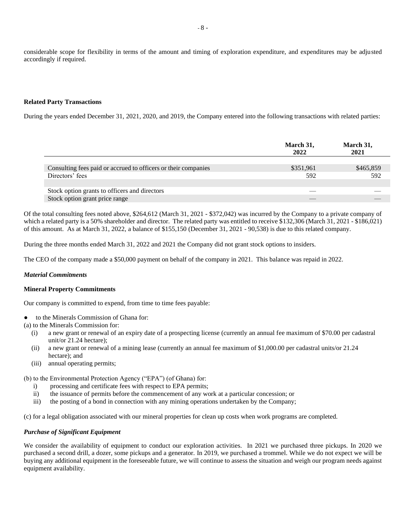considerable scope for flexibility in terms of the amount and timing of exploration expenditure, and expenditures may be adjusted accordingly if required.

#### **Related Party Transactions**

During the years ended December 31, 2021, 2020, and 2019, the Company entered into the following transactions with related parties:

|                                                                | March 31,<br>2022 | March 31,<br>2021 |
|----------------------------------------------------------------|-------------------|-------------------|
|                                                                |                   |                   |
| Consulting fees paid or accrued to officers or their companies | \$351,961         | \$465,859         |
| Directors' fees                                                | 592               | 592               |
|                                                                |                   |                   |
| Stock option grants to officers and directors                  |                   |                   |
| Stock option grant price range                                 |                   |                   |

Of the total consulting fees noted above, \$264,612 (March 31, 2021 - \$372,042) was incurred by the Company to a private company of which a related party is a 50% shareholder and director. The related party was entitled to receive \$132,306 (March 31, 2021 - \$186,021) of this amount. As at March 31, 2022, a balance of \$155,150 (December 31, 2021 - 90,538) is due to this related company.

During the three months ended March 31, 2022 and 2021 the Company did not grant stock options to insiders.

The CEO of the company made a \$50,000 payment on behalf of the company in 2021. This balance was repaid in 2022.

#### *Material Commitments*

#### **Mineral Property Commitments**

Our company is committed to expend, from time to time fees payable:

- to the Minerals Commission of Ghana for:
- (a) to the Minerals Commission for:
	- (i) a new grant or renewal of an expiry date of a prospecting license (currently an annual fee maximum of \$70.00 per cadastral unit/or 21.24 hectare);
	- (ii) a new grant or renewal of a mining lease (currently an annual fee maximum of \$1,000.00 per cadastral units/or 21.24 hectare); and
	- (iii) annual operating permits;

(b) to the Environmental Protection Agency ("EPA") (of Ghana) for:

- i) processing and certificate fees with respect to EPA permits;
- ii) the issuance of permits before the commencement of any work at a particular concession; or
- iii) the posting of a bond in connection with any mining operations undertaken by the Company;

(c) for a legal obligation associated with our mineral properties for clean up costs when work programs are completed.

#### *Purchase of Significant Equipment*

We consider the availability of equipment to conduct our exploration activities. In 2021 we purchased three pickups. In 2020 we purchased a second drill, a dozer, some pickups and a generator. In 2019, we purchased a trommel. While we do not expect we will be buying any additional equipment in the foreseeable future, we will continue to assess the situation and weigh our program needs against equipment availability.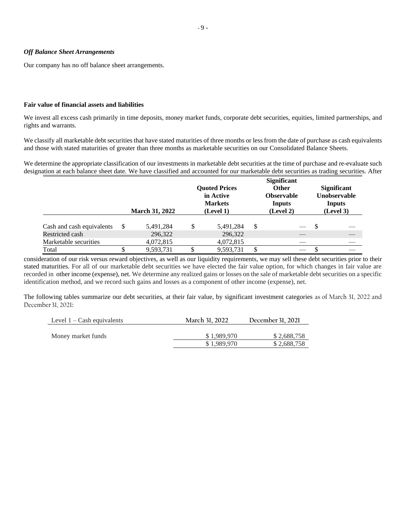#### *Off Balance Sheet Arrangements*

Our company has no off balance sheet arrangements.

#### **Fair value of financial assets and liabilities**

We invest all excess cash primarily in time deposits, money market funds, corporate debt securities, equities, limited partnerships, and rights and warrants.

We classify all marketable debt securities that have stated maturities of three months or less from the date of purchase as cash equivalents and those with stated maturities of greater than three months as marketable securities on our Consolidated Balance Sheets.

We determine the appropriate classification of our investments in marketable debt securities at the time of purchase and re-evaluate such designation at each balance sheet date. We have classified and accounted for our marketable debt securities as trading securities. After

|                           | <b>March 31, 2022</b> | <b>Ouoted Prices</b><br>in Active<br><b>Markets</b><br>(Level 1) |   | <b>Significant</b><br><b>Other</b><br><b>Observable</b><br>Inputs<br>(Level 2) | <b>Significant</b><br>Unobservable<br><b>Inputs</b><br>(Level 3) |
|---------------------------|-----------------------|------------------------------------------------------------------|---|--------------------------------------------------------------------------------|------------------------------------------------------------------|
| Cash and cash equivalents | 5,491,284             | 5,491,284                                                        | S |                                                                                |                                                                  |
| Restricted cash           | 296,322               | 296,322                                                          |   |                                                                                |                                                                  |
| Marketable securities     | 4,072,815             | 4,072,815                                                        |   |                                                                                |                                                                  |
| Total                     | 9,593,731             | 9.593.731                                                        |   |                                                                                |                                                                  |

consideration of our risk versus reward objectives, as well as our liquidity requirements, we may sell these debt securities prior to their stated maturities. For all of our marketable debt securities we have elected the fair value option, for which changes in fair value are recorded in other income (expense), net. We determine any realized gains or losses on the sale of marketable debt securities on a specific identification method, and we record such gains and losses as a component of other income (expense), net.

The following tables summarize our debt securities, at their fair value, by significant investment categories as of March 31, 2022 and December31, 2021:

| Level $1 -$ Cash equivalents | March 31, 2022 | December 31, 2021 |
|------------------------------|----------------|-------------------|
| Money market funds           | \$1.989.970    | \$2,688,758       |
|                              | \$1,989,970    | \$2,688,758       |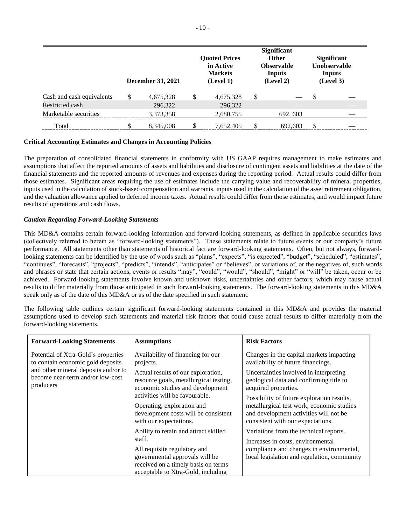|                           | <b>December 31, 2021</b> |   | <b>Quoted Prices</b><br>in Active<br><b>Markets</b><br>(Level 1) | <b>Significant</b><br><b>Other</b><br><b>Observable</b><br>Inputs<br>(Level 2) |     | <b>Significant</b><br><b>Unobservable</b><br><b>Inputs</b><br>(Level 3) |
|---------------------------|--------------------------|---|------------------------------------------------------------------|--------------------------------------------------------------------------------|-----|-------------------------------------------------------------------------|
| Cash and cash equivalents | \$<br>4,675,328          | S | 4,675,328                                                        | \$                                                                             | S   |                                                                         |
| Restricted cash           | 296,322                  |   | 296,322                                                          |                                                                                |     |                                                                         |
| Marketable securities     | 3,373,358                |   | 2,680,755                                                        | 692, 603                                                                       |     |                                                                         |
| Total                     | 8,345,008                |   | 7,652,405                                                        | 692.603                                                                        | \$. |                                                                         |

## **Critical Accounting Estimates and Changes in Accounting Policies**

The preparation of consolidated financial statements in conformity with US GAAP requires management to make estimates and assumptions that affect the reported amounts of assets and liabilities and disclosure of contingent assets and liabilities at the date of the financial statements and the reported amounts of revenues and expenses during the reporting period. Actual results could differ from those estimates. Significant areas requiring the use of estimates include the carrying value and recoverability of mineral properties, inputs used in the calculation of stock-based compensation and warrants, inputs used in the calculation of the asset retirement obligation, and the valuation allowance applied to deferred income taxes. Actual results could differ from those estimates, and would impact future results of operations and cash flows.

# *Caution Regarding Forward-Looking Statements*

This MD&A contains certain forward-looking information and forward-looking statements, as defined in applicable securities laws (collectively referred to herein as "forward-looking statements"). These statements relate to future events or our company's future performance. All statements other than statements of historical fact are forward-looking statements. Often, but not always, forwardlooking statements can be identified by the use of words such as "plans", "expects", "is expected", "budget", "scheduled", "estimates", "continues", "forecasts", "projects", "predicts", "intends", "anticipates" or "believes", or variations of, or the negatives of, such words and phrases or state that certain actions, events or results "may", "could", "would", "should", "might" or "will" be taken, occur or be achieved. Forward-looking statements involve known and unknown risks, uncertainties and other factors, which may cause actual results to differ materially from those anticipated in such forward-looking statements. The forward-looking statements in this MD&A speak only as of the date of this MD&A or as of the date specified in such statement.

The following table outlines certain significant forward-looking statements contained in this MD&A and provides the material assumptions used to develop such statements and material risk factors that could cause actual results to differ materially from the forward-looking statements.

| <b>Forward-Looking Statements</b>                                                     | <b>Assumptions</b>                                                                                                                                                                             | <b>Risk Factors</b>                                                                                                                                                    |
|---------------------------------------------------------------------------------------|------------------------------------------------------------------------------------------------------------------------------------------------------------------------------------------------|------------------------------------------------------------------------------------------------------------------------------------------------------------------------|
| Potential of Xtra-Gold's properties<br>to contain economic gold deposits              | Availability of financing for our<br>projects.                                                                                                                                                 | Changes in the capital markets impacting<br>availability of future financings.                                                                                         |
| and other mineral deposits and/or to<br>become near-term and/or low-cost<br>producers | Actual results of our exploration,<br>resource goals, metallurgical testing,<br>economic studies and development                                                                               | Uncertainties involved in interpreting<br>geological data and confirming title to<br>acquired properties.                                                              |
|                                                                                       | activities will be favourable.<br>Operating, exploration and<br>development costs will be consistent<br>with our expectations.                                                                 | Possibility of future exploration results,<br>metallurgical test work, economic studies<br>and development activities will not be<br>consistent with our expectations. |
|                                                                                       | Ability to retain and attract skilled<br>staff.<br>All requisite regulatory and<br>governmental approvals will be<br>received on a timely basis on terms<br>acceptable to Xtra-Gold, including | Variations from the technical reports.<br>Increases in costs, environmental<br>compliance and changes in environmental,<br>local legislation and regulation, community |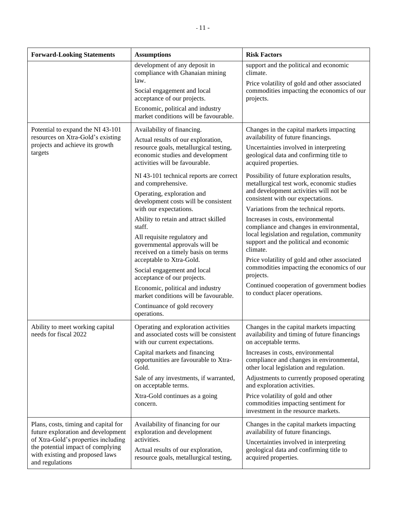| <b>Forward-Looking Statements</b>                                                                                                      | <b>Assumptions</b>                                                                                                                                                                                                                                                                                                                                                                                                                                                                                                                                                                                                                                                                                                                  | <b>Risk Factors</b>                                                                                                                                                                                                                                                                                                                                                                                                                                                                                                                                                                                                                                                                                                                                                                              |
|----------------------------------------------------------------------------------------------------------------------------------------|-------------------------------------------------------------------------------------------------------------------------------------------------------------------------------------------------------------------------------------------------------------------------------------------------------------------------------------------------------------------------------------------------------------------------------------------------------------------------------------------------------------------------------------------------------------------------------------------------------------------------------------------------------------------------------------------------------------------------------------|--------------------------------------------------------------------------------------------------------------------------------------------------------------------------------------------------------------------------------------------------------------------------------------------------------------------------------------------------------------------------------------------------------------------------------------------------------------------------------------------------------------------------------------------------------------------------------------------------------------------------------------------------------------------------------------------------------------------------------------------------------------------------------------------------|
|                                                                                                                                        | development of any deposit in<br>compliance with Ghanaian mining<br>law.<br>Social engagement and local<br>acceptance of our projects.<br>Economic, political and industry<br>market conditions will be favourable.                                                                                                                                                                                                                                                                                                                                                                                                                                                                                                                 | support and the political and economic<br>climate.<br>Price volatility of gold and other associated<br>commodities impacting the economics of our<br>projects.                                                                                                                                                                                                                                                                                                                                                                                                                                                                                                                                                                                                                                   |
| Potential to expand the NI 43-101<br>resources on Xtra-Gold's existing<br>projects and achieve its growth<br>targets                   | Availability of financing.<br>Actual results of our exploration,<br>resource goals, metallurgical testing,<br>economic studies and development<br>activities will be favourable.<br>NI 43-101 technical reports are correct<br>and comprehensive.<br>Operating, exploration and<br>development costs will be consistent<br>with our expectations.<br>Ability to retain and attract skilled<br>staff.<br>All requisite regulatory and<br>governmental approvals will be<br>received on a timely basis on terms<br>acceptable to Xtra-Gold.<br>Social engagement and local<br>acceptance of our projects.<br>Economic, political and industry<br>market conditions will be favourable.<br>Continuance of gold recovery<br>operations. | Changes in the capital markets impacting<br>availability of future financings.<br>Uncertainties involved in interpreting<br>geological data and confirming title to<br>acquired properties.<br>Possibility of future exploration results,<br>metallurgical test work, economic studies<br>and development activities will not be<br>consistent with our expectations.<br>Variations from the technical reports.<br>Increases in costs, environmental<br>compliance and changes in environmental,<br>local legislation and regulation, community<br>support and the political and economic<br>climate.<br>Price volatility of gold and other associated<br>commodities impacting the economics of our<br>projects.<br>Continued cooperation of government bodies<br>to conduct placer operations. |
| Ability to meet working capital<br>needs for fiscal 2022<br>Plans, costs, timing and capital for<br>future exploration and development | Operating and exploration activities<br>and associated costs will be consistent<br>with our current expectations.<br>Capital markets and financing<br>opportunities are favourable to Xtra-<br>Gold.<br>Sale of any investments, if warranted,<br>on acceptable terms.<br>Xtra-Gold continues as a going<br>concern.<br>Availability of financing for our<br>exploration and development                                                                                                                                                                                                                                                                                                                                            | Changes in the capital markets impacting<br>availability and timing of future financings<br>on acceptable terms.<br>Increases in costs, environmental<br>compliance and changes in environmental,<br>other local legislation and regulation.<br>Adjustments to currently proposed operating<br>and exploration activities.<br>Price volatility of gold and other<br>commodities impacting sentiment for<br>investment in the resource markets.<br>Changes in the capital markets impacting<br>availability of future financings.                                                                                                                                                                                                                                                                 |
| of Xtra-Gold's properties including<br>the potential impact of complying<br>with existing and proposed laws<br>and regulations         | activities.<br>Actual results of our exploration,<br>resource goals, metallurgical testing,                                                                                                                                                                                                                                                                                                                                                                                                                                                                                                                                                                                                                                         | Uncertainties involved in interpreting<br>geological data and confirming title to<br>acquired properties.                                                                                                                                                                                                                                                                                                                                                                                                                                                                                                                                                                                                                                                                                        |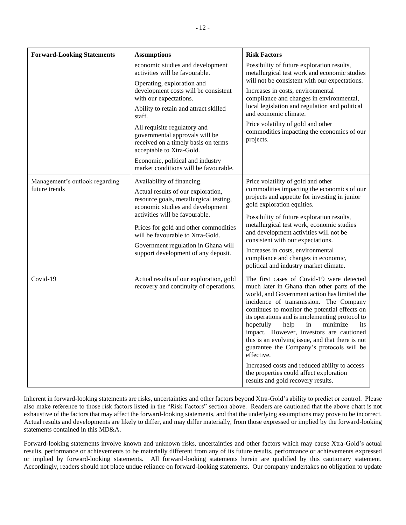| <b>Forward-Looking Statements</b>               | <b>Assumptions</b>                                                                                                                                                                                                                                                                                                                          | <b>Risk Factors</b>                                                                                                                                                                                                                                                                                                                                                                                                                                                                                                                                                                                                              |
|-------------------------------------------------|---------------------------------------------------------------------------------------------------------------------------------------------------------------------------------------------------------------------------------------------------------------------------------------------------------------------------------------------|----------------------------------------------------------------------------------------------------------------------------------------------------------------------------------------------------------------------------------------------------------------------------------------------------------------------------------------------------------------------------------------------------------------------------------------------------------------------------------------------------------------------------------------------------------------------------------------------------------------------------------|
|                                                 | economic studies and development<br>activities will be favourable.<br>Operating, exploration and                                                                                                                                                                                                                                            | Possibility of future exploration results,<br>metallurgical test work and economic studies<br>will not be consistent with our expectations.                                                                                                                                                                                                                                                                                                                                                                                                                                                                                      |
|                                                 | development costs will be consistent<br>with our expectations.                                                                                                                                                                                                                                                                              | Increases in costs, environmental<br>compliance and changes in environmental,                                                                                                                                                                                                                                                                                                                                                                                                                                                                                                                                                    |
|                                                 | Ability to retain and attract skilled<br>staff.                                                                                                                                                                                                                                                                                             | local legislation and regulation and political<br>and economic climate.                                                                                                                                                                                                                                                                                                                                                                                                                                                                                                                                                          |
|                                                 | All requisite regulatory and<br>governmental approvals will be<br>received on a timely basis on terms<br>acceptable to Xtra-Gold.                                                                                                                                                                                                           | Price volatility of gold and other<br>commodities impacting the economics of our<br>projects.                                                                                                                                                                                                                                                                                                                                                                                                                                                                                                                                    |
|                                                 | Economic, political and industry<br>market conditions will be favourable.                                                                                                                                                                                                                                                                   |                                                                                                                                                                                                                                                                                                                                                                                                                                                                                                                                                                                                                                  |
| Management's outlook regarding<br>future trends | Availability of financing.<br>Actual results of our exploration,<br>resource goals, metallurgical testing,<br>economic studies and development<br>activities will be favourable.<br>Prices for gold and other commodities<br>will be favourable to Xtra-Gold.<br>Government regulation in Ghana will<br>support development of any deposit. | Price volatility of gold and other<br>commodities impacting the economics of our<br>projects and appetite for investing in junior<br>gold exploration equities.<br>Possibility of future exploration results,<br>metallurgical test work, economic studies<br>and development activities will not be<br>consistent with our expectations.<br>Increases in costs, environmental<br>compliance and changes in economic,<br>political and industry market climate.                                                                                                                                                                  |
| Covid-19                                        | Actual results of our exploration, gold<br>recovery and continuity of operations.                                                                                                                                                                                                                                                           | The first cases of Covid-19 were detected<br>much later in Ghana than other parts of the<br>world, and Government action has limited the<br>incidence of transmission. The Company<br>continues to monitor the potential effects on<br>its operations and is implementing protocol to<br>help<br>minimize<br>hopefully<br>in<br>its<br>impact. However, investors are cautioned<br>this is an evolving issue, and that there is not<br>guarantee the Company's protocols will be<br>effective.<br>Increased costs and reduced ability to access<br>the properties could affect exploration<br>results and gold recovery results. |

Inherent in forward-looking statements are risks, uncertainties and other factors beyond Xtra-Gold's ability to predict or control. Please also make reference to those risk factors listed in the "Risk Factors" section above. Readers are cautioned that the above chart is not exhaustive of the factors that may affect the forward-looking statements, and that the underlying assumptions may prove to be incorrect. Actual results and developments are likely to differ, and may differ materially, from those expressed or implied by the forward-looking statements contained in this MD&A.

Forward-looking statements involve known and unknown risks, uncertainties and other factors which may cause Xtra-Gold's actual results, performance or achievements to be materially different from any of its future results, performance or achievements expressed or implied by forward-looking statements. All forward-looking statements herein are qualified by this cautionary statement. Accordingly, readers should not place undue reliance on forward-looking statements. Our company undertakes no obligation to update